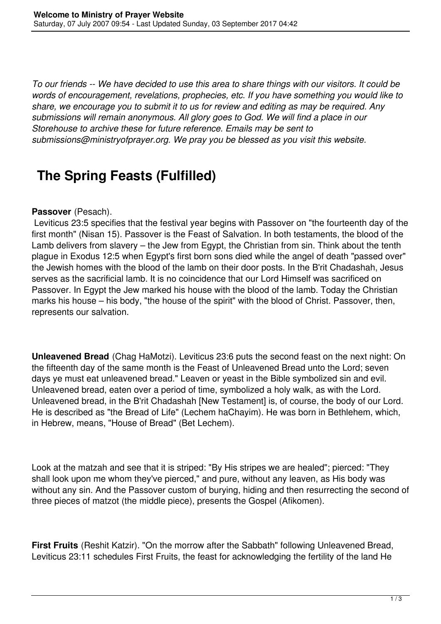*To our friends -- We have decided to use this area to share things with our visitors. It could be words of encouragement, revelations, prophecies, etc. If you have something you would like to share, we encourage you to submit it to us for review and editing as may be required. Any submissions will remain anonymous. All glory goes to God. We will find a place in our Storehouse to archive these for future reference. Emails may be sent to submissions@ministryofprayer.org. We pray you be blessed as you visit this website.*

## **The Spring Feasts (Fulfilled)**

## **Passover** (Pesach).

 Leviticus 23:5 specifies that the festival year begins with Passover on "the fourteenth day of the first month" (Nisan 15). Passover is the Feast of Salvation. In both testaments, the blood of the Lamb delivers from slavery – the Jew from Egypt, the Christian from sin. Think about the tenth plague in Exodus 12:5 when Egypt's first born sons died while the angel of death "passed over" the Jewish homes with the blood of the lamb on their door posts. In the B'rit Chadashah, Jesus serves as the sacrificial lamb. It is no coincidence that our Lord Himself was sacrificed on Passover. In Egypt the Jew marked his house with the blood of the lamb. Today the Christian marks his house – his body, "the house of the spirit" with the blood of Christ. Passover, then, represents our salvation.

**Unleavened Bread** (Chag HaMotzi). Leviticus 23:6 puts the second feast on the next night: On the fifteenth day of the same month is the Feast of Unleavened Bread unto the Lord; seven days ye must eat unleavened bread." Leaven or yeast in the Bible symbolized sin and evil. Unleavened bread, eaten over a period of time, symbolized a holy walk, as with the Lord. Unleavened bread, in the B'rit Chadashah [New Testament] is, of course, the body of our Lord. He is described as "the Bread of Life" (Lechem haChayim). He was born in Bethlehem, which, in Hebrew, means, "House of Bread" (Bet Lechem).

Look at the matzah and see that it is striped: "By His stripes we are healed"; pierced: "They shall look upon me whom they've pierced," and pure, without any leaven, as His body was without any sin. And the Passover custom of burying, hiding and then resurrecting the second of three pieces of matzot (the middle piece), presents the Gospel (Afikomen).

**First Fruits** (Reshit Katzir). "On the morrow after the Sabbath" following Unleavened Bread, Leviticus 23:11 schedules First Fruits, the feast for acknowledging the fertility of the land He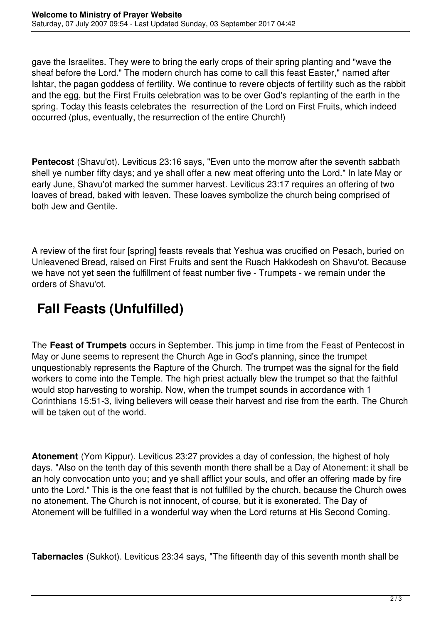gave the Israelites. They were to bring the early crops of their spring planting and "wave the sheaf before the Lord." The modern church has come to call this feast Easter," named after Ishtar, the pagan goddess of fertility. We continue to revere objects of fertility such as the rabbit and the egg, but the First Fruits celebration was to be over God's replanting of the earth in the spring. Today this feasts celebrates the resurrection of the Lord on First Fruits, which indeed occurred (plus, eventually, the resurrection of the entire Church!)

**Pentecost** (Shavu'ot). Leviticus 23:16 says, "Even unto the morrow after the seventh sabbath shell ye number fifty days; and ye shall offer a new meat offering unto the Lord." In late May or early June, Shavu'ot marked the summer harvest. Leviticus 23:17 requires an offering of two loaves of bread, baked with leaven. These loaves symbolize the church being comprised of both Jew and Gentile.

A review of the first four [spring] feasts reveals that Yeshua was crucified on Pesach, buried on Unleavened Bread, raised on First Fruits and sent the Ruach Hakkodesh on Shavu'ot. Because we have not yet seen the fulfillment of feast number five - Trumpets - we remain under the orders of Shavu'ot.

## **Fall Feasts (Unfulfilled)**

The **Feast of Trumpets** occurs in September. This jump in time from the Feast of Pentecost in May or June seems to represent the Church Age in God's planning, since the trumpet unquestionably represents the Rapture of the Church. The trumpet was the signal for the field workers to come into the Temple. The high priest actually blew the trumpet so that the faithful would stop harvesting to worship. Now, when the trumpet sounds in accordance with 1 Corinthians 15:51-3, living believers will cease their harvest and rise from the earth. The Church will be taken out of the world.

**Atonement** (Yom Kippur). Leviticus 23:27 provides a day of confession, the highest of holy days. "Also on the tenth day of this seventh month there shall be a Day of Atonement: it shall be an holy convocation unto you; and ye shall afflict your souls, and offer an offering made by fire unto the Lord." This is the one feast that is not fulfilled by the church, because the Church owes no atonement. The Church is not innocent, of course, but it is exonerated. The Day of Atonement will be fulfilled in a wonderful way when the Lord returns at His Second Coming.

**Tabernacles** (Sukkot). Leviticus 23:34 says, "The fifteenth day of this seventh month shall be